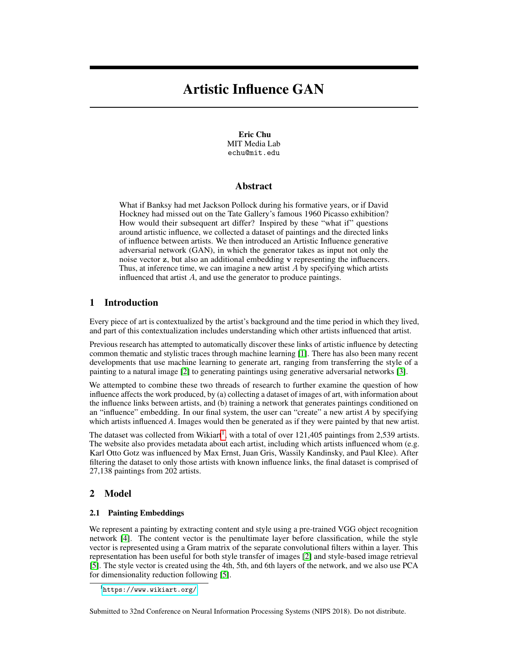# Artistic Influence GAN

Eric Chu MIT Media Lab echu@mit.edu

## Abstract

What if Banksy had met Jackson Pollock during his formative years, or if David Hockney had missed out on the Tate Gallery's famous 1960 Picasso exhibition? How would their subsequent art differ? Inspired by these "what if" questions around artistic influence, we collected a dataset of paintings and the directed links of influence between artists. We then introduced an Artistic Influence generative adversarial network (GAN), in which the generator takes as input not only the noise vector z, but also an additional embedding v representing the influencers. Thus, at inference time, we can imagine a new artist  $A$  by specifying which artists influenced that artist A, and use the generator to produce paintings.

## 1 Introduction

Every piece of art is contextualized by the artist's background and the time period in which they lived, and part of this contextualization includes understanding which other artists influenced that artist.

Previous research has attempted to automatically discover these links of artistic influence by detecting common thematic and stylistic traces through machine learning [\[1\]](#page-2-0). There has also been many recent developments that use machine learning to generate art, ranging from transferring the style of a painting to a natural image [\[2\]](#page-2-1) to generating paintings using generative adversarial networks [\[3\]](#page-2-2).

We attempted to combine these two threads of research to further examine the question of how influence affects the work produced, by (a) collecting a dataset of images of art, with information about the influence links between artists, and (b) training a network that generates paintings conditioned on an "influence" embedding. In our final system, the user can "create" a new artist *A* by specifying which artists influenced *A*. Images would then be generated as if they were painted by that new artist.

The dataset was collected from Wikiart<sup>[1](#page-0-0)</sup>, with a total of over 121,405 paintings from 2,539 artists. The website also provides metadata about each artist, including which artists influenced whom (e.g. Karl Otto Gotz was influenced by Max Ernst, Juan Gris, Wassily Kandinsky, and Paul Klee). After filtering the dataset to only those artists with known influence links, the final dataset is comprised of 27,138 paintings from 202 artists.

# 2 Model

#### 2.1 Painting Embeddings

We represent a painting by extracting content and style using a pre-trained VGG object recognition network [\[4\]](#page-2-3). The content vector is the penultimate layer before classification, while the style vector is represented using a Gram matrix of the separate convolutional filters within a layer. This representation has been useful for both style transfer of images [\[2\]](#page-2-1) and style-based image retrieval [\[5\]](#page-2-4). The style vector is created using the 4th, 5th, and 6th layers of the network, and we also use PCA for dimensionality reduction following [\[5\]](#page-2-4).

<span id="page-0-0"></span><sup>1</sup> <https://www.wikiart.org/>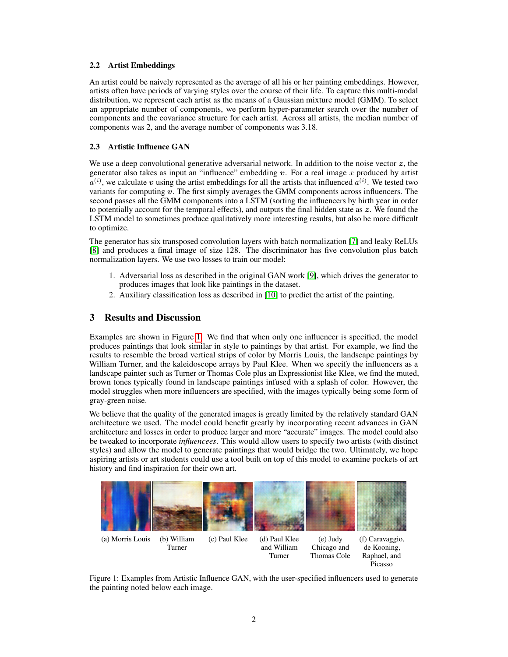## 2.2 Artist Embeddings

An artist could be naively represented as the average of all his or her painting embeddings. However, artists often have periods of varying styles over the course of their life. To capture this multi-modal distribution, we represent each artist as the means of a Gaussian mixture model (GMM). To select an appropriate number of components, we perform hyper-parameter search over the number of components and the covariance structure for each artist. Across all artists, the median number of components was 2, and the average number of components was 3.18.

## 2.3 Artistic Influence GAN

We use a deep convolutional generative adversarial network. In addition to the noise vector  $z$ , the generator also takes as input an "influence" embedding  $v$ . For a real image x produced by artist  $a^{(i)}$ , we calculate v using the artist embeddings for all the artists that influenced  $a^{(i)}$ . We tested two variants for computing  $v$ . The first simply averages the GMM components across influencers. The second passes all the GMM components into a LSTM (sorting the influencers by birth year in order to potentially account for the temporal effects), and outputs the final hidden state as  $z$ . We found the LSTM model to sometimes produce qualitatively more interesting results, but also be more difficult to optimize.

The generator has six transposed convolution layers with batch normalization [\[7\]](#page-2-5) and leaky ReLUs [\[8\]](#page-2-6) and produces a final image of size 128. The discriminator has five convolution plus batch normalization layers. We use two losses to train our model:

- 1. Adversarial loss as described in the original GAN work [\[9\]](#page-2-7), which drives the generator to produces images that look like paintings in the dataset.
- 2. Auxiliary classification loss as described in [\[10\]](#page-2-8) to predict the artist of the painting.

# 3 Results and Discussion

Examples are shown in Figure [1.](#page-1-0) We find that when only one influencer is specified, the model produces paintings that look similar in style to paintings by that artist. For example, we find the results to resemble the broad vertical strips of color by Morris Louis, the landscape paintings by William Turner, and the kaleidoscope arrays by Paul Klee. When we specify the influencers as a landscape painter such as Turner or Thomas Cole plus an Expressionist like Klee, we find the muted, brown tones typically found in landscape paintings infused with a splash of color. However, the model struggles when more influencers are specified, with the images typically being some form of gray-green noise.

We believe that the quality of the generated images is greatly limited by the relatively standard GAN architecture we used. The model could benefit greatly by incorporating recent advances in GAN architecture and losses in order to produce larger and more "accurate" images. The model could also be tweaked to incorporate *influencees*. This would allow users to specify two artists (with distinct styles) and allow the model to generate paintings that would bridge the two. Ultimately, we hope aspiring artists or art students could use a tool built on top of this model to examine pockets of art history and find inspiration for their own art.

<span id="page-1-0"></span>

Figure 1: Examples from Artistic Influence GAN, with the user-specified influencers used to generate the painting noted below each image.